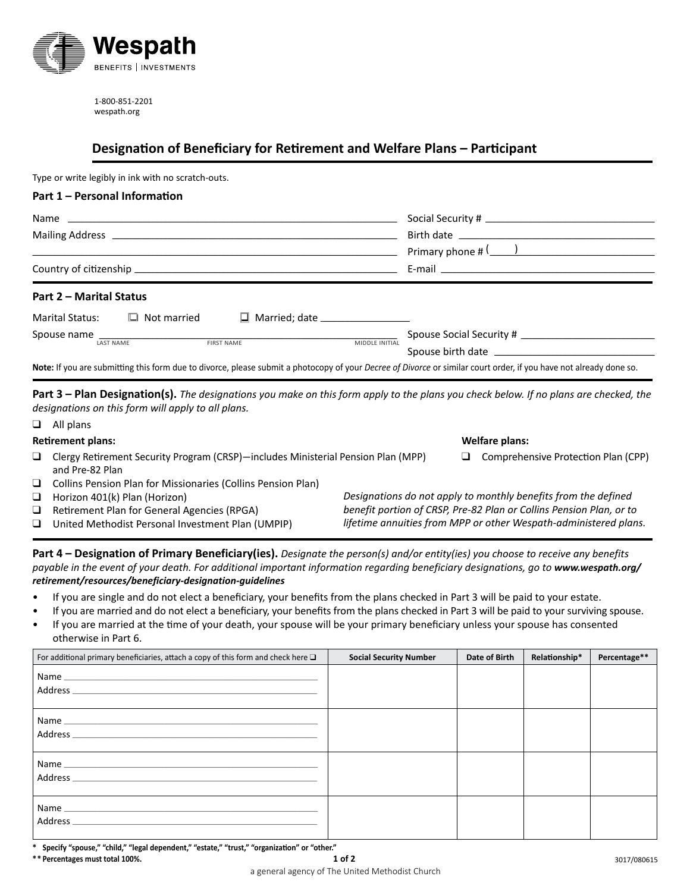

1-800-851-2201 wespath.org

## **Designation of Beneficiary for Retirement and Welfare Plans – Participant**

Type or write legibly in ink with no scratch-outs.

| Part 1 - Personal Information                                                                                                                                      |                                                                                                             |  |  |
|--------------------------------------------------------------------------------------------------------------------------------------------------------------------|-------------------------------------------------------------------------------------------------------------|--|--|
|                                                                                                                                                                    |                                                                                                             |  |  |
|                                                                                                                                                                    |                                                                                                             |  |  |
|                                                                                                                                                                    | Primary phone $\#\left(\begin{array}{c} \begin{array}{c} \begin{array}{c} \end{array}\\ \end{array}\right)$ |  |  |
|                                                                                                                                                                    |                                                                                                             |  |  |
| Part 2 - Marital Status                                                                                                                                            |                                                                                                             |  |  |
| $\Box$ Married; date ___________________<br>Marital Status:<br>$\Box$ Not married                                                                                  |                                                                                                             |  |  |
| Spouse name LAST NAME FIRST NAME FIRST NAME MIDDLE INITIAL                                                                                                         |                                                                                                             |  |  |
|                                                                                                                                                                    |                                                                                                             |  |  |
| Note: If you are submitting this form due to divorce, please submit a photocopy of your Decree of Divorce or similar court order, if you have not already done so. |                                                                                                             |  |  |

**Part 3 – Plan Designation(s).** *The designations you make on this form apply to the plans you check below. If no plans are checked, the designations on this form will apply to all plans.* 

|                                             |                                                                                                                                                                |                                                                                   | <b>Welfare plans:</b>                                               |
|---------------------------------------------|----------------------------------------------------------------------------------------------------------------------------------------------------------------|-----------------------------------------------------------------------------------|---------------------------------------------------------------------|
| and Pre-82 Plan                             |                                                                                                                                                                | ப                                                                                 | Comprehensive Protection Plan (CPP)                                 |
|                                             |                                                                                                                                                                |                                                                                   |                                                                     |
| Horizon 401(k) Plan (Horizon)               |                                                                                                                                                                |                                                                                   | Designations do not apply to monthly benefits from the defined      |
| Retirement Plan for General Agencies (RPGA) |                                                                                                                                                                |                                                                                   | benefit portion of CRSP, Pre-82 Plan or Collins Pension Plan, or to |
|                                             |                                                                                                                                                                |                                                                                   | lifetime annuities from MPP or other Wespath-administered plans.    |
|                                             | <b>Retirement plans:</b><br>$\Box$ Collins Pension Plan for Missionaries (Collins Pension Plan)<br>United Methodist Personal Investment Plan (UMPIP)<br>$\Box$ | Clergy Retirement Security Program (CRSP)-includes Ministerial Pension Plan (MPP) |                                                                     |

**Part 4 – Designation of Primary Beneficiary(ies).** *Designate the person(s) and/or entity(ies) you choose to receive any benefits*  payable in the event of your death. For additional important information regarding beneficiary designations, go to www.wespath.org/ *[retirement/resources/beneficiary-designation-guidelines](http://www.wespath.org/retirement/resources/beneficiary-designation-guidelines)*

- If you are single and do not elect a beneficiary, your benefits from the plans checked in Part 3 will be paid to your estate.
- If you are married and do not elect a beneficiary, your benefits from the plans checked in Part 3 will be paid to your surviving spouse.
- If you are married at the time of your death, your spouse will be your primary beneficiary unless your spouse has consented otherwise in Part 6.

| For additional primary beneficiaries, attach a copy of this form and check here $\square$ | <b>Social Security Number</b> | Date of Birth | Relationship* | Percentage** |
|-------------------------------------------------------------------------------------------|-------------------------------|---------------|---------------|--------------|
|                                                                                           |                               |               |               |              |
|                                                                                           |                               |               |               |              |
|                                                                                           |                               |               |               |              |
| Address                                                                                   |                               |               |               |              |

**\* Specify "spouse," "child," "legal dependent," "estate," "trust," "organization" or "other."**

**\*\* Percentages must total 100%.**

 $\Box$  All plans